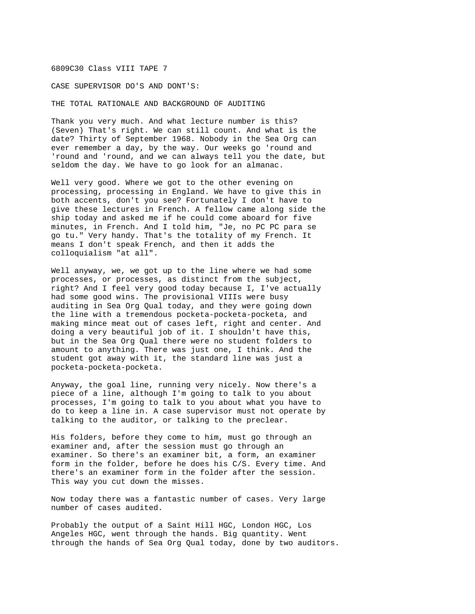## 6809C30 Class VIII TAPE 7

CASE SUPERVISOR DO'S AND DONT'S:

THE TOTAL RATIONALE AND BACKGROUND OF AUDITING

Thank you very much. And what lecture number is this? (Seven) That's right. We can still count. And what is the date? Thirty of September 1968. Nobody in the Sea Org can ever remember a day, by the way. Our weeks go 'round and 'round and 'round, and we can always tell you the date, but seldom the day. We have to go look for an almanac.

Well very good. Where we got to the other evening on processing, processing in England. We have to give this in both accents, don't you see? Fortunately I don't have to give these lectures in French. A fellow came along side the ship today and asked me if he could come aboard for five minutes, in French. And I told him, "Je, no PC PC para se go tu." Very handy. That's the totality of my French. It means I don't speak French, and then it adds the colloquialism "at all".

Well anyway, we, we got up to the line where we had some processes, or processes, as distinct from the subject, right? And I feel very good today because I, I've actually had some good wins. The provisional VIIIs were busy auditing in Sea Org Qual today, and they were going down the line with a tremendous pocketa-pocketa-pocketa, and making mince meat out of cases left, right and center. And doing a very beautiful job of it. I shouldn't have this, but in the Sea Org Qual there were no student folders to amount to anything. There was just one, I think. And the student got away with it, the standard line was just a pocketa-pocketa-pocketa.

Anyway, the goal line, running very nicely. Now there's a piece of a line, although I'm going to talk to you about processes, I'm going to talk to you about what you have to do to keep a line in. A case supervisor must not operate by talking to the auditor, or talking to the preclear.

His folders, before they come to him, must go through an examiner and, after the session must go through an examiner. So there's an examiner bit, a form, an examiner form in the folder, before he does his C/S. Every time. And there's an examiner form in the folder after the session. This way you cut down the misses.

Now today there was a fantastic number of cases. Very large number of cases audited.

Probably the output of a Saint Hill HGC, London HGC, Los Angeles HGC, went through the hands. Big quantity. Went through the hands of Sea Org Qual today, done by two auditors.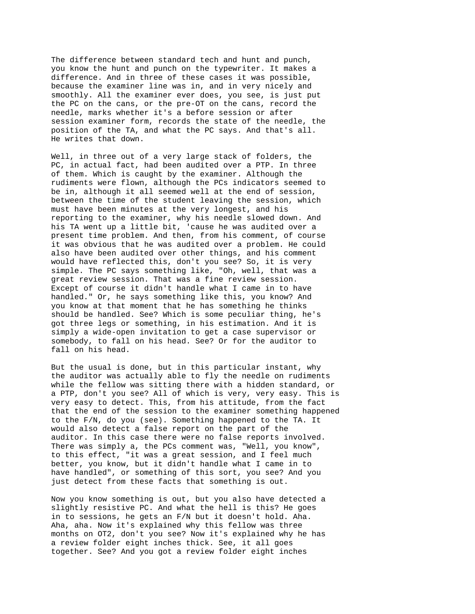The difference between standard tech and hunt and punch, you know the hunt and punch on the typewriter. It makes a difference. And in three of these cases it was possible, because the examiner line was in, and in very nicely and smoothly. All the examiner ever does, you see, is just put the PC on the cans, or the pre-OT on the cans, record the needle, marks whether it's a before session or after session examiner form, records the state of the needle, the position of the TA, and what the PC says. And that's all. He writes that down.

Well, in three out of a very large stack of folders, the PC, in actual fact, had been audited over a PTP. In three of them. Which is caught by the examiner. Although the rudiments were flown, although the PCs indicators seemed to be in, although it all seemed well at the end of session, between the time of the student leaving the session, which must have been minutes at the very longest, and his reporting to the examiner, why his needle slowed down. And his TA went up a little bit, 'cause he was audited over a present time problem. And then, from his comment, of course it was obvious that he was audited over a problem. He could also have been audited over other things, and his comment would have reflected this, don't you see? So, it is very simple. The PC says something like, "Oh, well, that was a great review session. That was a fine review session. Except of course it didn't handle what I came in to have handled." Or, he says something like this, you know? And you know at that moment that he has something he thinks should be handled. See? Which is some peculiar thing, he's got three legs or something, in his estimation. And it is simply a wide-open invitation to get a case supervisor or somebody, to fall on his head. See? Or for the auditor to fall on his head.

But the usual is done, but in this particular instant, why the auditor was actually able to fly the needle on rudiments while the fellow was sitting there with a hidden standard, or a PTP, don't you see? All of which is very, very easy. This is very easy to detect. This, from his attitude, from the fact that the end of the session to the examiner something happened to the F/N, do you (see). Something happened to the TA. It would also detect a false report on the part of the auditor. In this case there were no false reports involved. There was simply a, the PCs comment was, "Well, you know", to this effect, "it was a great session, and I feel much better, you know, but it didn't handle what I came in to have handled", or something of this sort, you see? And you just detect from these facts that something is out.

Now you know something is out, but you also have detected a slightly resistive PC. And what the hell is this? He goes in to sessions, he gets an F/N but it doesn't hold. Aha. Aha, aha. Now it's explained why this fellow was three months on OT2, don't you see? Now it's explained why he has a review folder eight inches thick. See, it all goes together. See? And you got a review folder eight inches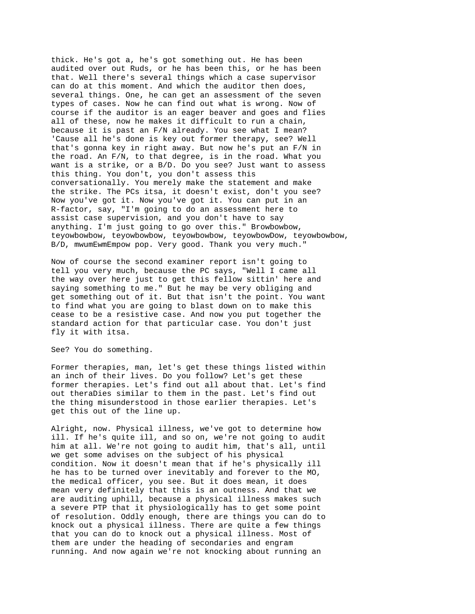thick. He's got a, he's got something out. He has been audited over out Ruds, or he has been this, or he has been that. Well there's several things which a case supervisor can do at this moment. And which the auditor then does, several things. One, he can get an assessment of the seven types of cases. Now he can find out what is wrong. Now of course if the auditor is an eager beaver and goes and flies all of these, now he makes it difficult to run a chain, because it is past an F/N already. You see what I mean? 'Cause all he's done is key out former therapy, see? Well that's gonna key in right away. But now he's put an F/N in the road. An F/N, to that degree, is in the road. What you want is a strike, or a B/D. Do you see? Just want to assess this thing. You don't, you don't assess this conversationally. You merely make the statement and make the strike. The PCs itsa, it doesn't exist, don't you see? Now you've got it. Now you've got it. You can put in an R-factor, say, "I'm going to do an assessment here to assist case supervision, and you don't have to say anything. I'm just going to go over this." Browbowbow, teyowbowbow, teyowbowbow, teyowbowbow, teyowbowDow, teyowbowbow, B/D, mwumEwmEmpow pop. Very good. Thank you very much."

Now of course the second examiner report isn't going to tell you very much, because the PC says, "Well I came all the way over here just to get this fellow sittin' here and saying something to me." But he may be very obliging and get something out of it. But that isn't the point. You want to find what you are going to blast down on to make this cease to be a resistive case. And now you put together the standard action for that particular case. You don't just fly it with itsa.

See? You do something.

Former therapies, man, let's get these things listed within an inch of their lives. Do you follow? Let's get these former therapies. Let's find out all about that. Let's find out theraDies similar to them in the past. Let's find out the thing misunderstood in those earlier therapies. Let's get this out of the line up.

Alright, now. Physical illness, we've got to determine how ill. If he's quite ill, and so on, we're not going to audit him at all. We're not going to audit him, that's all, until we get some advises on the subject of his physical condition. Now it doesn't mean that if he's physically ill he has to be turned over inevitably and forever to the MO, the medical officer, you see. But it does mean, it does mean very definitely that this is an outness. And that we are auditing uphill, because a physical illness makes such a severe PTP that it physiologically has to get some point of resolution. Oddly enough, there are things you can do to knock out a physical illness. There are quite a few things that you can do to knock out a physical illness. Most of them are under the heading of secondaries and engram running. And now again we're not knocking about running an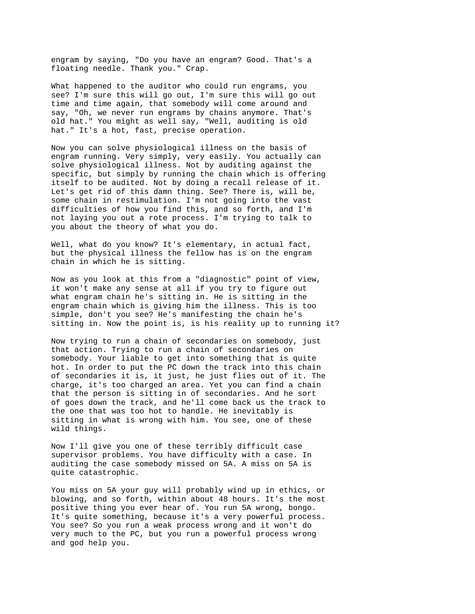engram by saying, "Do you have an engram? Good. That's a floating needle. Thank you." Crap.

What happened to the auditor who could run engrams, you see? I'm sure this will go out, I'm sure this will go out time and time again, that somebody will come around and say, "Oh, we never run engrams by chains anymore. That's old hat." You might as well say, "Well, auditing is old hat." It's a hot, fast, precise operation.

Now you can solve physiological illness on the basis of engram running. Very simply, very easily. You actually can solve physiological illness. Not by auditing against the specific, but simply by running the chain which is offering itself to be audited. Not by doing a recall release of it. Let's get rid of this damn thing. See? There is, will be, some chain in restimulation. I'm not going into the vast difficulties of how you find this, and so forth, and I'm not laying you out a rote process. I'm trying to talk to you about the theory of what you do.

Well, what do you know? It's elementary, in actual fact, but the physical illness the fellow has is on the engram chain in which he is sitting.

Now as you look at this from a "diagnostic" point of view, it won't make any sense at all if you try to figure out what engram chain he's sitting in. He is sitting in the engram chain which is giving him the illness. This is too simple, don't you see? He's manifesting the chain he's sitting in. Now the point is, is his reality up to running it?

Now trying to run a chain of secondaries on somebody, just that action. Trying to run a chain of secondaries on somebody. Your liable to get into something that is quite hot. In order to put the PC down the track into this chain of secondaries it is, it just, he just flies out of it. The charge, it's too charged an area. Yet you can find a chain that the person is sitting in of secondaries. And he sort of goes down the track, and he'll come back us the track to the one that was too hot to handle. He inevitably is sitting in what is wrong with him. You see, one of these wild things.

Now I'll give you one of these terribly difficult case supervisor problems. You have difficulty with a case. In auditing the case somebody missed on 5A. A miss on 5A is quite catastrophic.

You miss on 5A your guy will probably wind up in ethics, or blowing, and so forth, within about 48 hours. It's the most positive thing you ever hear of. You run 5A wrong, bongo. It's quite something, because it's a very powerful process. You see? So you run a weak process wrong and it won't do very much to the PC, but you run a powerful process wrong and god help you.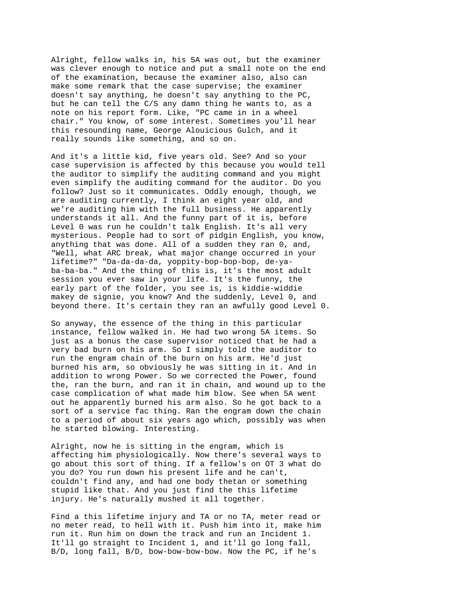Alright, fellow walks in, his 5A was out, but the examiner was clever enough to notice and put a small note on the end of the examination, because the examiner also, also can make some remark that the case supervise; the examiner doesn't say anything, he doesn't say anything to the PC, but he can tell the C/S any damn thing he wants to, as a note on his report form. Like, "PC came in in a wheel chair." You know, of some interest. Sometimes you'll hear this resounding name, George Alouicious Gulch, and it really sounds like something, and so on.

And it's a little kid, five years old. See? And so your case supervision is affected by this because you would tell the auditor to simplify the auditing command and you might even simplify the auditing command for the auditor. Do you follow? Just so it communicates. Oddly enough, though, we are auditing currently, I think an eight year old, and we're auditing him with the full business. He apparently understands it all. And the funny part of it is, before Level 0 was run he couldn't talk English. It's all very mysterious. People had to sort of pidgin English, you know, anything that was done. All of a sudden they ran 0, and, "Well, what ARC break, what major change occurred in your lifetime?" "Da-da-da-da, yoppity-bop-bop-bop, de-yaba-ba-ba." And the thing of this is, it's the most adult session you ever saw in your life. It's the funny, the early part of the folder, you see is, is kiddie-widdie makey de signie, you know? And the suddenly, Level 0, and beyond there. It's certain they ran an awfully good Level 0.

So anyway, the essence of the thing in this particular instance, fellow walked in. He had two wrong 5A items. So just as a bonus the case supervisor noticed that he had a very bad burn on his arm. So I simply told the auditor to run the engram chain of the burn on his arm. He'd just burned his arm, so obviously he was sitting in it. And in addition to wrong Power. So we corrected the Power, found the, ran the burn, and ran it in chain, and wound up to the case complication of what made him blow. See when 5A went out he apparently burned his arm also. So he got back to a sort of a service fac thing. Ran the engram down the chain to a period of about six years ago which, possibly was when he started blowing. Interesting.

Alright, now he is sitting in the engram, which is affecting him physiologically. Now there's several ways to go about this sort of thing. If a fellow's on OT 3 what do you do? You run down his present life and he can't, couldn't find any, and had one body thetan or something stupid like that. And you just find the this lifetime injury. He's naturally mushed it all together.

Find a this lifetime injury and TA or no TA, meter read or no meter read, to hell with it. Push him into it, make him run it. Run him on down the track and run an Incident 1. It'll go straight to Incident 1, and it'll go long fall, B/D, long fall, B/D, bow-bow-bow-bow. Now the PC, if he's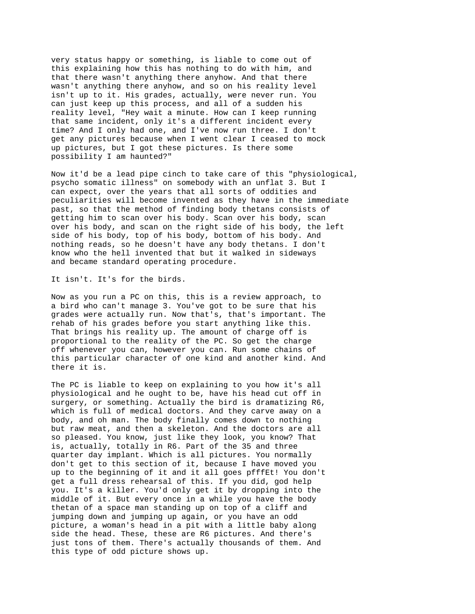very status happy or something, is liable to come out of this explaining how this has nothing to do with him, and that there wasn't anything there anyhow. And that there wasn't anything there anyhow, and so on his reality level isn't up to it. His grades, actually, were never run. You can just keep up this process, and all of a sudden his reality level, "Hey wait a minute. How can I keep running that same incident, only it's a different incident every time? And I only had one, and I've now run three. I don't get any pictures because when I went clear I ceased to mock up pictures, but I got these pictures. Is there some possibility I am haunted?"

Now it'd be a lead pipe cinch to take care of this "physiological, psycho somatic illness" on somebody with an unflat 3. But I can expect, over the years that all sorts of oddities and peculiarities will become invented as they have in the immediate past, so that the method of finding body thetans consists of getting him to scan over his body. Scan over his body, scan over his body, and scan on the right side of his body, the left side of his body, top of his body, bottom of his body. And nothing reads, so he doesn't have any body thetans. I don't know who the hell invented that but it walked in sideways and became standard operating procedure.

It isn't. It's for the birds.

Now as you run a PC on this, this is a review approach, to a bird who can't manage 3. You've got to be sure that his grades were actually run. Now that's, that's important. The rehab of his grades before you start anything like this. That brings his reality up. The amount of charge off is proportional to the reality of the PC. So get the charge off whenever you can, however you can. Run some chains of this particular character of one kind and another kind. And there it is.

The PC is liable to keep on explaining to you how it's all physiological and he ought to be, have his head cut off in surgery, or something. Actually the bird is dramatizing R6, which is full of medical doctors. And they carve away on a body, and oh man. The body finally comes down to nothing but raw meat, and then a skeleton. And the doctors are all so pleased. You know, just like they look, you know? That is, actually, totally in R6. Part of the 35 and three quarter day implant. Which is all pictures. You normally don't get to this section of it, because I have moved you up to the beginning of it and it all goes pfffEt! You don't get a full dress rehearsal of this. If you did, god help you. It's a killer. You'd only get it by dropping into the middle of it. But every once in a while you have the body thetan of a space man standing up on top of a cliff and jumping down and jumping up again, or you have an odd picture, a woman's head in a pit with a little baby along side the head. These, these are R6 pictures. And there's just tons of them. There's actually thousands of them. And this type of odd picture shows up.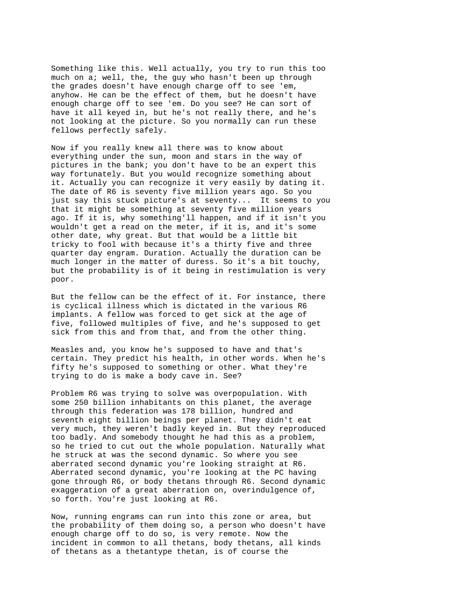Something like this. Well actually, you try to run this too much on a; well, the, the guy who hasn't been up through the grades doesn't have enough charge off to see 'em, anyhow. He can be the effect of them, but he doesn't have enough charge off to see 'em. Do you see? He can sort of have it all keyed in, but he's not really there, and he's not looking at the picture. So you normally can run these fellows perfectly safely.

Now if you really knew all there was to know about everything under the sun, moon and stars in the way of pictures in the bank; you don't have to be an expert this way fortunately. But you would recognize something about it. Actually you can recognize it very easily by dating it. The date of R6 is seventy five million years ago. So you just say this stuck picture's at seventy... It seems to you that it might be something at seventy five million years ago. If it is, why something'll happen, and if it isn't you wouldn't get a read on the meter, if it is, and it's some other date, why great. But that would be a little bit tricky to fool with because it's a thirty five and three quarter day engram. Duration. Actually the duration can be much longer in the matter of duress. So it's a bit touchy, but the probability is of it being in restimulation is very poor.

But the fellow can be the effect of it. For instance, there is cyclical illness which is dictated in the various R6 implants. A fellow was forced to get sick at the age of five, followed multiples of five, and he's supposed to get sick from this and from that, and from the other thing.

Measles and, you know he's supposed to have and that's certain. They predict his health, in other words. When he's fifty he's supposed to something or other. What they're trying to do is make a body cave in. See?

Problem R6 was trying to solve was overpopulation. With some 250 billion inhabitants on this planet, the average through this federation was 178 billion, hundred and seventh eight billion beings per planet. They didn't eat very much, they weren't badly keyed in. But they reproduced too badly. And somebody thought he had this as a problem, so he tried to cut out the whole population. Naturally what he struck at was the second dynamic. So where you see aberrated second dynamic you're looking straight at R6. Aberrated second dynamic, you're looking at the PC having gone through R6, or body thetans through R6. Second dynamic exaggeration of a great aberration on, overindulgence of, so forth. You're just looking at R6.

Now, running engrams can run into this zone or area, but the probability of them doing so, a person who doesn't have enough charge off to do so, is very remote. Now the incident in common to all thetans, body thetans, all kinds of thetans as a thetantype thetan, is of course the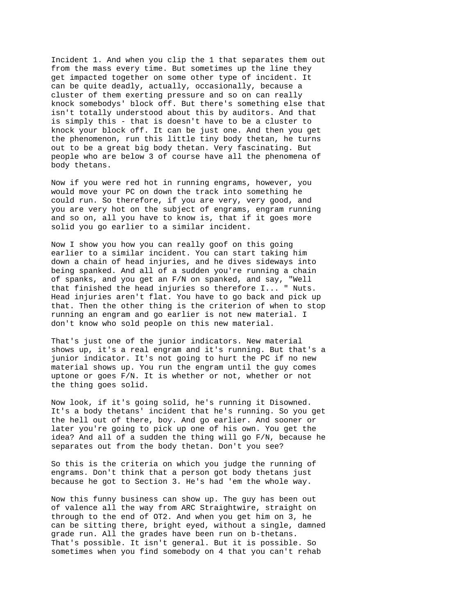Incident 1. And when you clip the 1 that separates them out from the mass every time. But sometimes up the line they get impacted together on some other type of incident. It can be quite deadly, actually, occasionally, because a cluster of them exerting pressure and so on can really knock somebodys' block off. But there's something else that isn't totally understood about this by auditors. And that is simply this - that is doesn't have to be a cluster to knock your block off. It can be just one. And then you get the phenomenon, run this little tiny body thetan, he turns out to be a great big body thetan. Very fascinating. But people who are below 3 of course have all the phenomena of body thetans.

Now if you were red hot in running engrams, however, you would move your PC on down the track into something he could run. So therefore, if you are very, very good, and you are very hot on the subject of engrams, engram running and so on, all you have to know is, that if it goes more solid you go earlier to a similar incident.

Now I show you how you can really goof on this going earlier to a similar incident. You can start taking him down a chain of head injuries, and he dives sideways into being spanked. And all of a sudden you're running a chain of spanks, and you get an F/N on spanked, and say, "Well that finished the head injuries so therefore I... " Nuts. Head injuries aren't flat. You have to go back and pick up that. Then the other thing is the criterion of when to stop running an engram and go earlier is not new material. I don't know who sold people on this new material.

That's just one of the junior indicators. New material shows up, it's a real engram and it's running. But that's a junior indicator. It's not going to hurt the PC if no new material shows up. You run the engram until the guy comes uptone or goes F/N. It is whether or not, whether or not the thing goes solid.

Now look, if it's going solid, he's running it Disowned. It's a body thetans' incident that he's running. So you get the hell out of there, boy. And go earlier. And sooner or later you're going to pick up one of his own. You get the idea? And all of a sudden the thing will go F/N, because he separates out from the body thetan. Don't you see?

So this is the criteria on which you judge the running of engrams. Don't think that a person got body thetans just because he got to Section 3. He's had 'em the whole way.

Now this funny business can show up. The guy has been out of valence all the way from ARC Straightwire, straight on through to the end of OT2. And when you get him on 3, he can be sitting there, bright eyed, without a single, damned grade run. All the grades have been run on b-thetans. That's possible. It isn't general. But it is possible. So sometimes when you find somebody on 4 that you can't rehab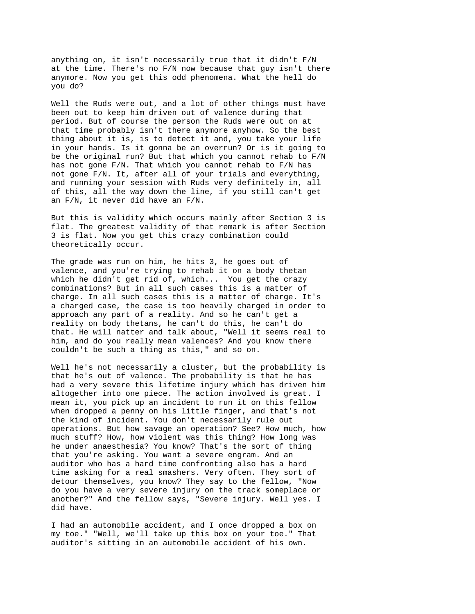anything on, it isn't necessarily true that it didn't F/N at the time. There's no F/N now because that guy isn't there anymore. Now you get this odd phenomena. What the hell do you do?

Well the Ruds were out, and a lot of other things must have been out to keep him driven out of valence during that period. But of course the person the Ruds were out on at that time probably isn't there anymore anyhow. So the best thing about it is, is to detect it and, you take your life in your hands. Is it gonna be an overrun? Or is it going to be the original run? But that which you cannot rehab to F/N has not gone F/N. That which you cannot rehab to F/N has not gone F/N. It, after all of your trials and everything, and running your session with Ruds very definitely in, all of this, all the way down the line, if you still can't get an F/N, it never did have an F/N.

But this is validity which occurs mainly after Section 3 is flat. The greatest validity of that remark is after Section 3 is flat. Now you get this crazy combination could theoretically occur.

The grade was run on him, he hits 3, he goes out of valence, and you're trying to rehab it on a body thetan which he didn't get rid of, which... You get the crazy combinations? But in all such cases this is a matter of charge. In all such cases this is a matter of charge. It's a charged case, the case is too heavily charged in order to approach any part of a reality. And so he can't get a reality on body thetans, he can't do this, he can't do that. He will natter and talk about, "Well it seems real to him, and do you really mean valences? And you know there couldn't be such a thing as this," and so on.

Well he's not necessarily a cluster, but the probability is that he's out of valence. The probability is that he has had a very severe this lifetime injury which has driven him altogether into one piece. The action involved is great. I mean it, you pick up an incident to run it on this fellow when dropped a penny on his little finger, and that's not the kind of incident. You don't necessarily rule out operations. But how savage an operation? See? How much, how much stuff? How, how violent was this thing? How long was he under anaesthesia? You know? That's the sort of thing that you're asking. You want a severe engram. And an auditor who has a hard time confronting also has a hard time asking for a real smashers. Very often. They sort of detour themselves, you know? They say to the fellow, "Now do you have a very severe injury on the track someplace or another?" And the fellow says, "Severe injury. Well yes. I did have.

I had an automobile accident, and I once dropped a box on my toe." "Well, we'll take up this box on your toe." That auditor's sitting in an automobile accident of his own.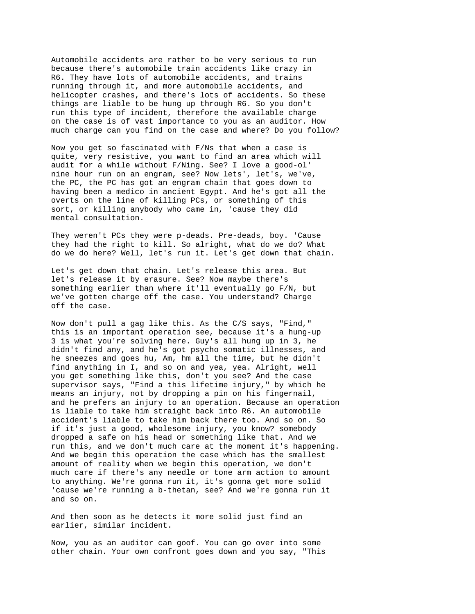Automobile accidents are rather to be very serious to run because there's automobile train accidents like crazy in R6. They have lots of automobile accidents, and trains running through it, and more automobile accidents, and helicopter crashes, and there's lots of accidents. So these things are liable to be hung up through R6. So you don't run this type of incident, therefore the available charge on the case is of vast importance to you as an auditor. How much charge can you find on the case and where? Do you follow?

Now you get so fascinated with F/Ns that when a case is quite, very resistive, you want to find an area which will audit for a while without F/Ning. See? I love a good-ol' nine hour run on an engram, see? Now lets', let's, we've, the PC, the PC has got an engram chain that goes down to having been a medico in ancient Egypt. And he's got all the overts on the line of killing PCs, or something of this sort, or killing anybody who came in, 'cause they did mental consultation.

They weren't PCs they were p-deads. Pre-deads, boy. 'Cause they had the right to kill. So alright, what do we do? What do we do here? Well, let's run it. Let's get down that chain.

Let's get down that chain. Let's release this area. But let's release it by erasure. See? Now maybe there's something earlier than where it'll eventually go F/N, but we've gotten charge off the case. You understand? Charge off the case.

Now don't pull a gag like this. As the C/S says, "Find," this is an important operation see, because it's a hung-up 3 is what you're solving here. Guy's all hung up in 3, he didn't find any, and he's got psycho somatic illnesses, and he sneezes and goes hu, Am, hm all the time, but he didn't find anything in I, and so on and yea, yea. Alright, well you get something like this, don't you see? And the case supervisor says, "Find a this lifetime injury," by which he means an injury, not by dropping a pin on his fingernail, and he prefers an injury to an operation. Because an operation is liable to take him straight back into R6. An automobile accident's liable to take him back there too. And so on. So if it's just a good, wholesome injury, you know? somebody dropped a safe on his head or something like that. And we run this, and we don't much care at the moment it's happening. And we begin this operation the case which has the smallest amount of reality when we begin this operation, we don't much care if there's any needle or tone arm action to amount to anything. We're gonna run it, it's gonna get more solid 'cause we're running a b-thetan, see? And we're gonna run it and so on.

And then soon as he detects it more solid just find an earlier, similar incident.

Now, you as an auditor can goof. You can go over into some other chain. Your own confront goes down and you say, "This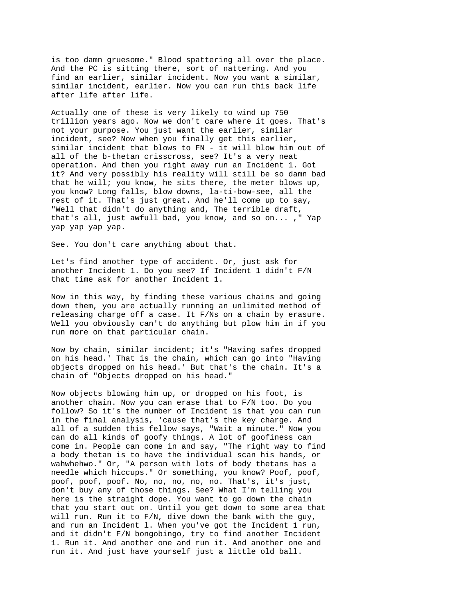is too damn gruesome." Blood spattering all over the place. And the PC is sitting there, sort of nattering. And you find an earlier, similar incident. Now you want a similar, similar incident, earlier. Now you can run this back life after life after life.

Actually one of these is very likely to wind up 750 trillion years ago. Now we don't care where it goes. That's not your purpose. You just want the earlier, similar incident, see? Now when you finally get this earlier, similar incident that blows to FN - it will blow him out of all of the b-thetan crisscross, see? It's a very neat operation. And then you right away run an Incident 1. Got it? And very possibly his reality will still be so damn bad that he will; you know, he sits there, the meter blows up, you know? Long falls, blow downs, la-ti-bow-see, all the rest of it. That's just great. And he'll come up to say, "Well that didn't do anything and, The terrible draft, that's all, just awfull bad, you know, and so on... ," Yap yap yap yap yap.

See. You don't care anything about that.

Let's find another type of accident. Or, just ask for another Incident 1. Do you see? If Incident 1 didn't F/N that time ask for another Incident 1.

Now in this way, by finding these various chains and going down them, you are actually running an unlimited method of releasing charge off a case. It F/Ns on a chain by erasure. Well you obviously can't do anything but plow him in if you run more on that particular chain.

Now by chain, similar incident; it's "Having safes dropped on his head.' That is the chain, which can go into "Having objects dropped on his head.' But that's the chain. It's a chain of "Objects dropped on his head."

Now objects blowing him up, or dropped on his foot, is another chain. Now you can erase that to F/N too. Do you follow? So it's the number of Incident 1s that you can run in the final analysis, 'cause that's the key charge. And all of a sudden this fellow says, "Wait a minute." Now you can do all kinds of goofy things. A lot of goofiness can come in. People can come in and say, "The right way to find a body thetan is to have the individual scan his hands, or wahwhehwo." Or, "A person with lots of body thetans has a needle which hiccups." Or something, you know? Poof, poof, poof, poof, poof. No, no, no, no, no. That's, it's just, don't buy any of those things. See? What I'm telling you here is the straight dope. You want to go down the chain that you start out on. Until you get down to some area that will run. Run it to  $F/N$ , dive down the bank with the guy, and run an Incident l. When you've got the Incident 1 run, and it didn't F/N bongobingo, try to find another Incident 1. Run it. And another one and run it. And another one and run it. And just have yourself just a little old ball.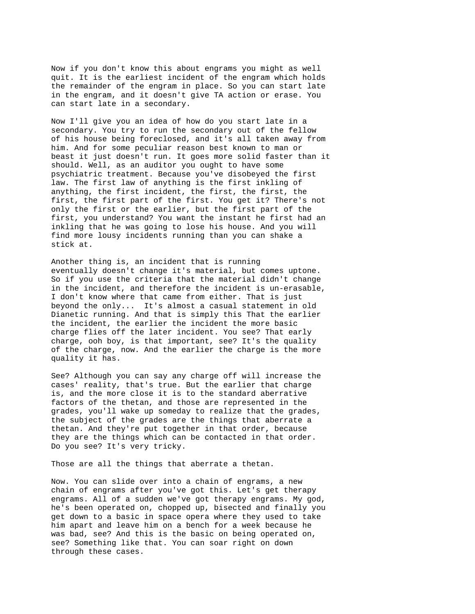Now if you don't know this about engrams you might as well quit. It is the earliest incident of the engram which holds the remainder of the engram in place. So you can start late in the engram, and it doesn't give TA action or erase. You can start late in a secondary.

Now I'll give you an idea of how do you start late in a secondary. You try to run the secondary out of the fellow of his house being foreclosed, and it's all taken away from him. And for some peculiar reason best known to man or beast it just doesn't run. It goes more solid faster than it should. Well, as an auditor you ought to have some psychiatric treatment. Because you've disobeyed the first law. The first law of anything is the first inkling of anything, the first incident, the first, the first, the first, the first part of the first. You get it? There's not only the first or the earlier, but the first part of the first, you understand? You want the instant he first had an inkling that he was going to lose his house. And you will find more lousy incidents running than you can shake a stick at.

Another thing is, an incident that is running eventually doesn't change it's material, but comes uptone. So if you use the criteria that the material didn't change in the incident, and therefore the incident is un-erasable, I don't know where that came from either. That is just beyond the only... It's almost a casual statement in old Dianetic running. And that is simply this That the earlier the incident, the earlier the incident the more basic charge flies off the later incident. You see? That early charge, ooh boy, is that important, see? It's the quality of the charge, now. And the earlier the charge is the more quality it has.

See? Although you can say any charge off will increase the cases' reality, that's true. But the earlier that charge is, and the more close it is to the standard aberrative factors of the thetan, and those are represented in the grades, you'll wake up someday to realize that the grades, the subject of the grades are the things that aberrate a thetan. And they're put together in that order, because they are the things which can be contacted in that order. Do you see? It's very tricky.

Those are all the things that aberrate a thetan.

Now. You can slide over into a chain of engrams, a new chain of engrams after you've got this. Let's get therapy engrams. All of a sudden we've got therapy engrams. My god, he's been operated on, chopped up, bisected and finally you get down to a basic in space opera where they used to take him apart and leave him on a bench for a week because he was bad, see? And this is the basic on being operated on, see? Something like that. You can soar right on down through these cases.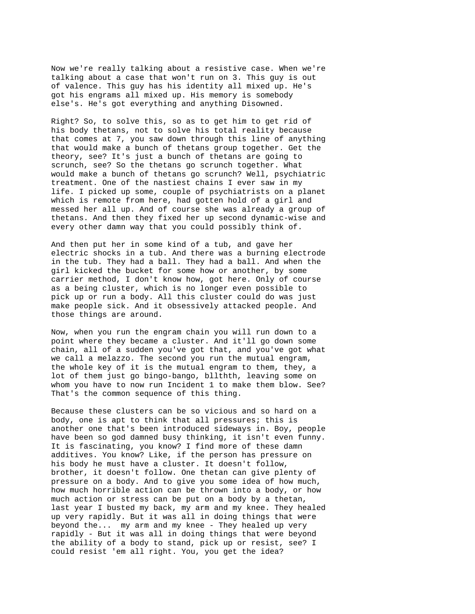Now we're really talking about a resistive case. When we're talking about a case that won't run on 3. This guy is out of valence. This guy has his identity all mixed up. He's got his engrams all mixed up. His memory is somebody else's. He's got everything and anything Disowned.

Right? So, to solve this, so as to get him to get rid of his body thetans, not to solve his total reality because that comes at 7, you saw down through this line of anything that would make a bunch of thetans group together. Get the theory, see? It's just a bunch of thetans are going to scrunch, see? So the thetans go scrunch together. What would make a bunch of thetans go scrunch? Well, psychiatric treatment. One of the nastiest chains I ever saw in my life. I picked up some, couple of psychiatrists on a planet which is remote from here, had gotten hold of a girl and messed her all up. And of course she was already a group of thetans. And then they fixed her up second dynamic-wise and every other damn way that you could possibly think of.

And then put her in some kind of a tub, and gave her electric shocks in a tub. And there was a burning electrode in the tub. They had a ball. They had a ball. And when the girl kicked the bucket for some how or another, by some carrier method, I don't know how, got here. Only of course as a being cluster, which is no longer even possible to pick up or run a body. All this cluster could do was just make people sick. And it obsessively attacked people. And those things are around.

Now, when you run the engram chain you will run down to a point where they became a cluster. And it'll go down some chain, all of a sudden you've got that, and you've got what we call a melazzo. The second you run the mutual engram, the whole key of it is the mutual engram to them, they, a lot of them just go bingo-bango, bllthth, leaving some on whom you have to now run Incident 1 to make them blow. See? That's the common sequence of this thing.

Because these clusters can be so vicious and so hard on a body, one is apt to think that all pressures; this is another one that's been introduced sideways in. Boy, people have been so god damned busy thinking, it isn't even funny. It is fascinating, you know? I find more of these damn additives. You know? Like, if the person has pressure on his body he must have a cluster. It doesn't follow, brother, it doesn't follow. One thetan can give plenty of pressure on a body. And to give you some idea of how much, how much horrible action can be thrown into a body, or how much action or stress can be put on a body by a thetan, last year I busted my back, my arm and my knee. They healed up very rapidly. But it was all in doing things that were beyond the... my arm and my knee - They healed up very rapidly - But it was all in doing things that were beyond the ability of a body to stand, pick up or resist, see? I could resist 'em all right. You, you get the idea?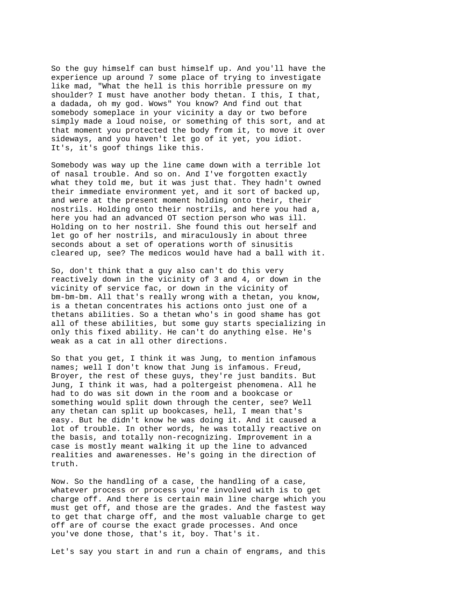So the guy himself can bust himself up. And you'll have the experience up around 7 some place of trying to investigate like mad, "What the hell is this horrible pressure on my shoulder? I must have another body thetan. I this, I that, a dadada, oh my god. Wows" You know? And find out that somebody someplace in your vicinity a day or two before simply made a loud noise, or something of this sort, and at that moment you protected the body from it, to move it over sideways, and you haven't let go of it yet, you idiot. It's, it's goof things like this.

Somebody was way up the line came down with a terrible lot of nasal trouble. And so on. And I've forgotten exactly what they told me, but it was just that. They hadn't owned their immediate environment yet, and it sort of backed up, and were at the present moment holding onto their, their nostrils. Holding onto their nostrils, and here you had a, here you had an advanced OT section person who was ill. Holding on to her nostril. She found this out herself and let go of her nostrils, and miraculously in about three seconds about a set of operations worth of sinusitis cleared up, see? The medicos would have had a ball with it.

So, don't think that a guy also can't do this very reactively down in the vicinity of 3 and 4, or down in the vicinity of service fac, or down in the vicinity of bm-bm-bm. All that's really wrong with a thetan, you know, is a thetan concentrates his actions onto just one of a thetans abilities. So a thetan who's in good shame has got all of these abilities, but some guy starts specializing in only this fixed ability. He can't do anything else. He's weak as a cat in all other directions.

So that you get, I think it was Jung, to mention infamous names; well I don't know that Jung is infamous. Freud, Broyer, the rest of these guys, they're just bandits. But Jung, I think it was, had a poltergeist phenomena. All he had to do was sit down in the room and a bookcase or something would split down through the center, see? Well any thetan can split up bookcases, hell, I mean that's easy. But he didn't know he was doing it. And it caused a lot of trouble. In other words, he was totally reactive on the basis, and totally non-recognizing. Improvement in a case is mostly meant walking it up the line to advanced realities and awarenesses. He's going in the direction of truth.

Now. So the handling of a case, the handling of a case, whatever process or process you're involved with is to get charge off. And there is certain main line charge which you must get off, and those are the grades. And the fastest way to get that charge off, and the most valuable charge to get off are of course the exact grade processes. And once you've done those, that's it, boy. That's it.

Let's say you start in and run a chain of engrams, and this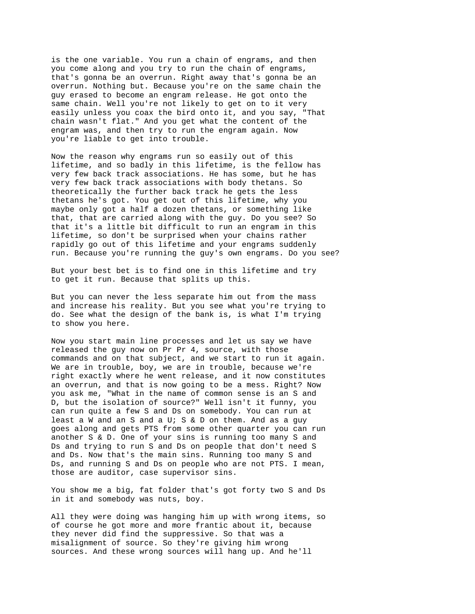is the one variable. You run a chain of engrams, and then you come along and you try to run the chain of engrams, that's gonna be an overrun. Right away that's gonna be an overrun. Nothing but. Because you're on the same chain the guy erased to become an engram release. He got onto the same chain. Well you're not likely to get on to it very easily unless you coax the bird onto it, and you say, "That chain wasn't flat." And you get what the content of the engram was, and then try to run the engram again. Now you're liable to get into trouble.

Now the reason why engrams run so easily out of this lifetime, and so badly in this lifetime, is the fellow has very few back track associations. He has some, but he has very few back track associations with body thetans. So theoretically the further back track he gets the less thetans he's got. You get out of this lifetime, why you maybe only got a half a dozen thetans, or something like that, that are carried along with the guy. Do you see? So that it's a little bit difficult to run an engram in this lifetime, so don't be surprised when your chains rather rapidly go out of this lifetime and your engrams suddenly run. Because you're running the guy's own engrams. Do you see?

But your best bet is to find one in this lifetime and try to get it run. Because that splits up this.

But you can never the less separate him out from the mass and increase his reality. But you see what you're trying to do. See what the design of the bank is, is what I'm trying to show you here.

Now you start main line processes and let us say we have released the guy now on Pr Pr 4, source, with those commands and on that subject, and we start to run it again. We are in trouble, boy, we are in trouble, because we're right exactly where he went release, and it now constitutes an overrun, and that is now going to be a mess. Right? Now you ask me, "What in the name of common sense is an S and D, but the isolation of source?" Well isn't it funny, you can run quite a few S and Ds on somebody. You can run at least a W and an S and a U; S & D on them. And as a guy goes along and gets PTS from some other quarter you can run another S & D. One of your sins is running too many S and Ds and trying to run S and Ds on people that don't need S and Ds. Now that's the main sins. Running too many S and Ds, and running S and Ds on people who are not PTS. I mean, those are auditor, case supervisor sins.

You show me a big, fat folder that's got forty two S and Ds in it and somebody was nuts, boy.

All they were doing was hanging him up with wrong items, so of course he got more and more frantic about it, because they never did find the suppressive. So that was a misalignment of source. So they're giving him wrong sources. And these wrong sources will hang up. And he'll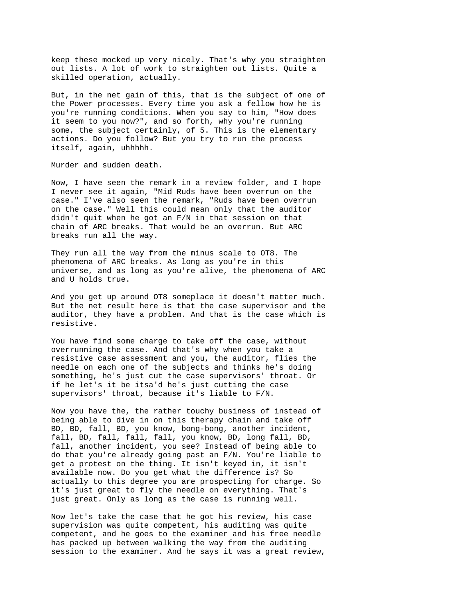keep these mocked up very nicely. That's why you straighten out lists. A lot of work to straighten out lists. Quite a skilled operation, actually.

But, in the net gain of this, that is the subject of one of the Power processes. Every time you ask a fellow how he is you're running conditions. When you say to him, "How does it seem to you now?", and so forth, why you're running some, the subject certainly, of 5. This is the elementary actions. Do you follow? But you try to run the process itself, again, uhhhhh.

Murder and sudden death.

Now, I have seen the remark in a review folder, and I hope I never see it again, "Mid Ruds have been overrun on the case." I've also seen the remark, "Ruds have been overrun on the case." Well this could mean only that the auditor didn't quit when he got an F/N in that session on that chain of ARC breaks. That would be an overrun. But ARC breaks run all the way.

They run all the way from the minus scale to OT8. The phenomena of ARC breaks. As long as you're in this universe, and as long as you're alive, the phenomena of ARC and U holds true.

And you get up around OT8 someplace it doesn't matter much. But the net result here is that the case supervisor and the auditor, they have a problem. And that is the case which is resistive.

You have find some charge to take off the case, without overrunning the case. And that's why when you take a resistive case assessment and you, the auditor, flies the needle on each one of the subjects and thinks he's doing something, he's just cut the case supervisors' throat. Or if he let's it be itsa'd he's just cutting the case supervisors' throat, because it's liable to F/N.

Now you have the, the rather touchy business of instead of being able to dive in on this therapy chain and take off BD, BD, fall, BD, you know, bong-bong, another incident, fall, BD, fall, fall, fall, you know, BD, long fall, BD, fall, another incident, you see? Instead of being able to do that you're already going past an F/N. You're liable to get a protest on the thing. It isn't keyed in, it isn't available now. Do you get what the difference is? So actually to this degree you are prospecting for charge. So it's just great to fly the needle on everything. That's just great. Only as long as the case is running well.

Now let's take the case that he got his review, his case supervision was quite competent, his auditing was quite competent, and he goes to the examiner and his free needle has packed up between walking the way from the auditing session to the examiner. And he says it was a great review,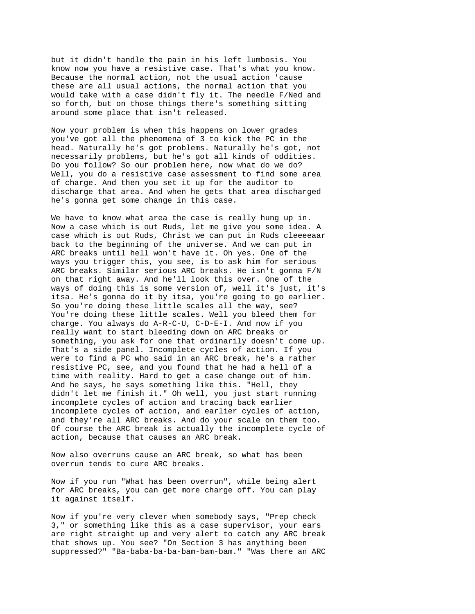but it didn't handle the pain in his left lumbosis. You know now you have a resistive case. That's what you know. Because the normal action, not the usual action 'cause these are all usual actions, the normal action that you would take with a case didn't fly it. The needle F/Ned and so forth, but on those things there's something sitting around some place that isn't released.

Now your problem is when this happens on lower grades you've got all the phenomena of 3 to kick the PC in the head. Naturally he's got problems. Naturally he's got, not necessarily problems, but he's got all kinds of oddities. Do you follow? So our problem here, now what do we do? Well, you do a resistive case assessment to find some area of charge. And then you set it up for the auditor to discharge that area. And when he gets that area discharged he's gonna get some change in this case.

We have to know what area the case is really hung up in. Now a case which is out Ruds, let me give you some idea. A case which is out Ruds, Christ we can put in Ruds cleeeeaar back to the beginning of the universe. And we can put in ARC breaks until hell won't have it. Oh yes. One of the ways you trigger this, you see, is to ask him for serious ARC breaks. Similar serious ARC breaks. He isn't gonna F/N on that right away. And he'll look this over. One of the ways of doing this is some version of, well it's just, it's itsa. He's gonna do it by itsa, you're going to go earlier. So you're doing these little scales all the way, see? You're doing these little scales. Well you bleed them for charge. You always do A-R-C-U, C-D-E-I. And now if you really want to start bleeding down on ARC breaks or something, you ask for one that ordinarily doesn't come up. That's a side panel. Incomplete cycles of action. If you were to find a PC who said in an ARC break, he's a rather resistive PC, see, and you found that he had a hell of a time with reality. Hard to get a case change out of him. And he says, he says something like this. "Hell, they didn't let me finish it." Oh well, you just start running incomplete cycles of action and tracing back earlier incomplete cycles of action, and earlier cycles of action, and they're all ARC breaks. And do your scale on them too. Of course the ARC break is actually the incomplete cycle of action, because that causes an ARC break.

Now also overruns cause an ARC break, so what has been overrun tends to cure ARC breaks.

Now if you run "What has been overrun", while being alert for ARC breaks, you can get more charge off. You can play it against itself.

Now if you're very clever when somebody says, "Prep check 3," or something like this as a case supervisor, your ears are right straight up and very alert to catch any ARC break that shows up. You see? "On Section 3 has anything been suppressed?" "Ba-baba-ba-ba-bam-bam-bam." "Was there an ARC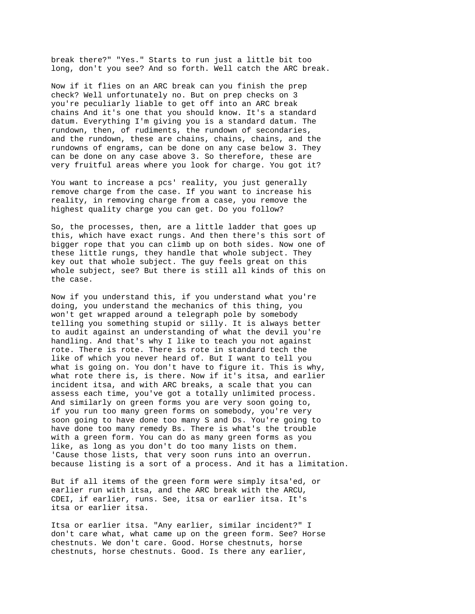break there?" "Yes." Starts to run just a little bit too long, don't you see? And so forth. Well catch the ARC break.

Now if it flies on an ARC break can you finish the prep check? Well unfortunately no. But on prep checks on 3 you're peculiarly liable to get off into an ARC break chains And it's one that you should know. It's a standard datum. Everything I'm giving you is a standard datum. The rundown, then, of rudiments, the rundown of secondaries, and the rundown, these are chains, chains, chains, and the rundowns of engrams, can be done on any case below 3. They can be done on any case above 3. So therefore, these are very fruitful areas where you look for charge. You got it?

You want to increase a pcs' reality, you just generally remove charge from the case. If you want to increase his reality, in removing charge from a case, you remove the highest quality charge you can get. Do you follow?

So, the processes, then, are a little ladder that goes up this, which have exact rungs. And then there's this sort of bigger rope that you can climb up on both sides. Now one of these little rungs, they handle that whole subject. They key out that whole subject. The guy feels great on this whole subject, see? But there is still all kinds of this on the case.

Now if you understand this, if you understand what you're doing, you understand the mechanics of this thing, you won't get wrapped around a telegraph pole by somebody telling you something stupid or silly. It is always better to audit against an understanding of what the devil you're handling. And that's why I like to teach you not against rote. There is rote. There is rote in standard tech the like of which you never heard of. But I want to tell you what is going on. You don't have to figure it. This is why, what rote there is, is there. Now if it's itsa, and earlier incident itsa, and with ARC breaks, a scale that you can assess each time, you've got a totally unlimited process. And similarly on green forms you are very soon going to, if you run too many green forms on somebody, you're very soon going to have done too many S and Ds. You're going to have done too many remedy Bs. There is what's the trouble with a green form. You can do as many green forms as you like, as long as you don't do too many lists on them. 'Cause those lists, that very soon runs into an overrun. because listing is a sort of a process. And it has a limitation.

But if all items of the green form were simply itsa'ed, or earlier run with itsa, and the ARC break with the ARCU, CDEI, if earlier, runs. See, itsa or earlier itsa. It's itsa or earlier itsa.

Itsa or earlier itsa. "Any earlier, similar incident?" I don't care what, what came up on the green form. See? Horse chestnuts. We don't care. Good. Horse chestnuts, horse chestnuts, horse chestnuts. Good. Is there any earlier,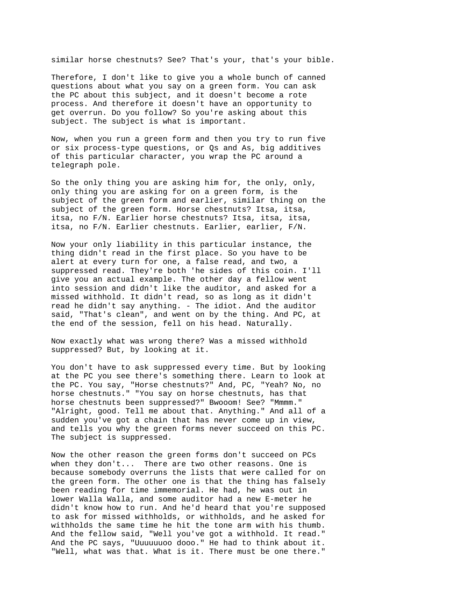similar horse chestnuts? See? That's your, that's your bible.

Therefore, I don't like to give you a whole bunch of canned questions about what you say on a green form. You can ask the PC about this subject, and it doesn't become a rote process. And therefore it doesn't have an opportunity to get overrun. Do you follow? So you're asking about this subject. The subject is what is important.

Now, when you run a green form and then you try to run five or six process-type questions, or Qs and As, big additives of this particular character, you wrap the PC around a telegraph pole.

So the only thing you are asking him for, the only, only, only thing you are asking for on a green form, is the subject of the green form and earlier, similar thing on the subject of the green form. Horse chestnuts? Itsa, itsa, itsa, no F/N. Earlier horse chestnuts? Itsa, itsa, itsa, itsa, no F/N. Earlier chestnuts. Earlier, earlier, F/N.

Now your only liability in this particular instance, the thing didn't read in the first place. So you have to be alert at every turn for one, a false read, and two, a suppressed read. They're both 'he sides of this coin. I'll give you an actual example. The other day a fellow went into session and didn't like the auditor, and asked for a missed withhold. It didn't read, so as long as it didn't read he didn't say anything. - The idiot. And the auditor said, "That's clean", and went on by the thing. And PC, at the end of the session, fell on his head. Naturally.

Now exactly what was wrong there? Was a missed withhold suppressed? But, by looking at it.

You don't have to ask suppressed every time. But by looking at the PC you see there's something there. Learn to look at the PC. You say, "Horse chestnuts?" And, PC, "Yeah? No, no horse chestnuts." "You say on horse chestnuts, has that horse chestnuts been suppressed?" Bwooom! See? "Mmmm." "Alright, good. Tell me about that. Anything." And all of a sudden you've got a chain that has never come up in view, and tells you why the green forms never succeed on this PC. The subject is suppressed.

Now the other reason the green forms don't succeed on PCs when they don't... There are two other reasons. One is because somebody overruns the lists that were called for on the green form. The other one is that the thing has falsely been reading for time immemorial. He had, he was out in lower Walla Walla, and some auditor had a new E-meter he didn't know how to run. And he'd heard that you're supposed to ask for missed withholds, or withholds, and he asked for withholds the same time he hit the tone arm with his thumb. And the fellow said, "Well you've got a withhold. It read." And the PC says, "Uuuuuuoo dooo." He had to think about it. "Well, what was that. What is it. There must be one there."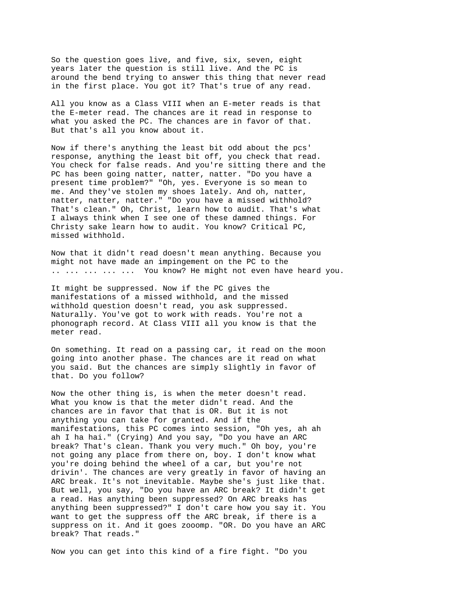So the question goes live, and five, six, seven, eight years later the question is still live. And the PC is around the bend trying to answer this thing that never read in the first place. You got it? That's true of any read.

All you know as a Class VIII when an E-meter reads is that the E-meter read. The chances are it read in response to what you asked the PC. The chances are in favor of that. But that's all you know about it.

Now if there's anything the least bit odd about the pcs' response, anything the least bit off, you check that read. You check for false reads. And you're sitting there and the PC has been going natter, natter, natter. "Do you have a present time problem?" "Oh, yes. Everyone is so mean to me. And they've stolen my shoes lately. And oh, natter, natter, natter, natter." "Do you have a missed withhold? That's clean." Oh, Christ, learn how to audit. That's what I always think when I see one of these damned things. For Christy sake learn how to audit. You know? Critical PC, missed withhold.

Now that it didn't read doesn't mean anything. Because you might not have made an impingement on the PC to the .. ... ... ... ... You know? He might not even have heard you.

It might be suppressed. Now if the PC gives the manifestations of a missed withhold, and the missed withhold question doesn't read, you ask suppressed. Naturally. You've got to work with reads. You're not a phonograph record. At Class VIII all you know is that the meter read.

On something. It read on a passing car, it read on the moon going into another phase. The chances are it read on what you said. But the chances are simply slightly in favor of that. Do you follow?

Now the other thing is, is when the meter doesn't read. What you know is that the meter didn't read. And the chances are in favor that that is OR. But it is not anything you can take for granted. And if the manifestations, this PC comes into session, "Oh yes, ah ah ah I ha hai." (Crying) And you say, "Do you have an ARC break? That's clean. Thank you very much." Oh boy, you're not going any place from there on, boy. I don't know what you're doing behind the wheel of a car, but you're not drivin'. The chances are very greatly in favor of having an ARC break. It's not inevitable. Maybe she's just like that. But well, you say, "Do you have an ARC break? It didn't get a read. Has anything been suppressed? On ARC breaks has anything been suppressed?" I don't care how you say it. You want to get the suppress off the ARC break, if there is a suppress on it. And it goes zooomp. "OR. Do you have an ARC break? That reads."

Now you can get into this kind of a fire fight. "Do you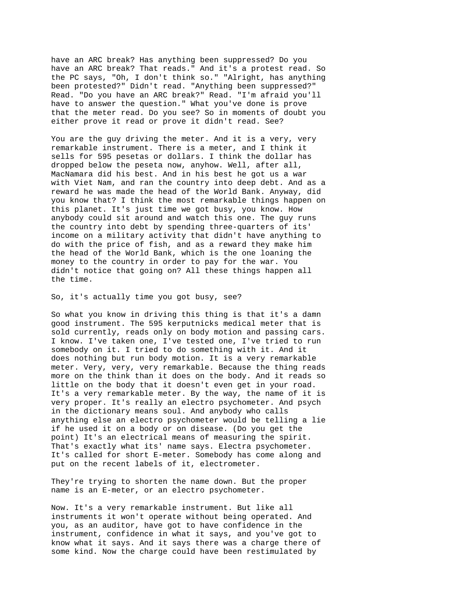have an ARC break? Has anything been suppressed? Do you have an ARC break? That reads." And it's a protest read. So the PC says, "Oh, I don't think so." "Alright, has anything been protested?" Didn't read. "Anything been suppressed?" Read. "Do you have an ARC break?" Read. "I'm afraid you'll have to answer the question." What you've done is prove that the meter read. Do you see? So in moments of doubt you either prove it read or prove it didn't read. See?

You are the guy driving the meter. And it is a very, very remarkable instrument. There is a meter, and I think it sells for 595 pesetas or dollars. I think the dollar has dropped below the peseta now, anyhow. Well, after all, MacNamara did his best. And in his best he got us a war with Viet Nam, and ran the country into deep debt. And as a reward he was made the head of the World Bank. Anyway, did you know that? I think the most remarkable things happen on this planet. It's just time we got busy, you know. How anybody could sit around and watch this one. The guy runs the country into debt by spending three-quarters of its' income on a military activity that didn't have anything to do with the price of fish, and as a reward they make him the head of the World Bank, which is the one loaning the money to the country in order to pay for the war. You didn't notice that going on? All these things happen all the time.

So, it's actually time you got busy, see?

So what you know in driving this thing is that it's a damn good instrument. The 595 kerputnicks medical meter that is sold currently, reads only on body motion and passing cars. I know. I've taken one, I've tested one, I've tried to run somebody on it. I tried to do something with it. And it does nothing but run body motion. It is a very remarkable meter. Very, very, very remarkable. Because the thing reads more on the think than it does on the body. And it reads so little on the body that it doesn't even get in your road. It's a very remarkable meter. By the way, the name of it is very proper. It's really an electro psychometer. And psych in the dictionary means soul. And anybody who calls anything else an electro psychometer would be telling a lie if he used it on a body or on disease. (Do you get the point) It's an electrical means of measuring the spirit. That's exactly what its' name says. Electra psychometer. It's called for short E-meter. Somebody has come along and put on the recent labels of it, electrometer.

They're trying to shorten the name down. But the proper name is an E-meter, or an electro psychometer.

Now. It's a very remarkable instrument. But like all instruments it won't operate without being operated. And you, as an auditor, have got to have confidence in the instrument, confidence in what it says, and you've got to know what it says. And it says there was a charge there of some kind. Now the charge could have been restimulated by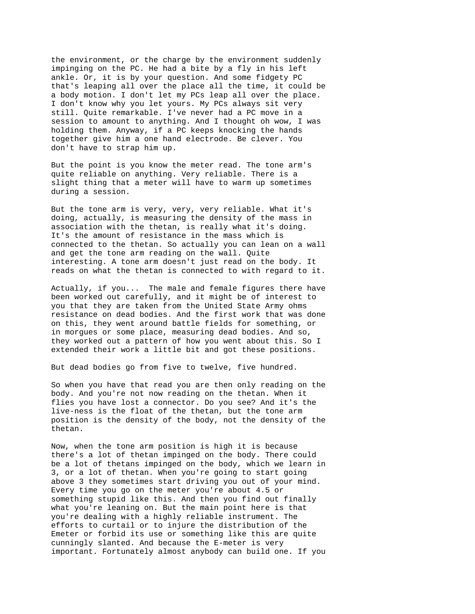the environment, or the charge by the environment suddenly impinging on the PC. He had a bite by a fly in his left ankle. Or, it is by your question. And some fidgety PC that's leaping all over the place all the time, it could be a body motion. I don't let my PCs leap all over the place. I don't know why you let yours. My PCs always sit very still. Quite remarkable. I've never had a PC move in a session to amount to anything. And I thought oh wow, I was holding them. Anyway, if a PC keeps knocking the hands together give him a one hand electrode. Be clever. You don't have to strap him up.

But the point is you know the meter read. The tone arm's quite reliable on anything. Very reliable. There is a slight thing that a meter will have to warm up sometimes during a session.

But the tone arm is very, very, very reliable. What it's doing, actually, is measuring the density of the mass in association with the thetan, is really what it's doing. It's the amount of resistance in the mass which is connected to the thetan. So actually you can lean on a wall and get the tone arm reading on the wall. Quite interesting. A tone arm doesn't just read on the body. It reads on what the thetan is connected to with regard to it.

Actually, if you... The male and female figures there have been worked out carefully, and it might be of interest to you that they are taken from the United State Army ohms resistance on dead bodies. And the first work that was done on this, they went around battle fields for something, or in morgues or some place, measuring dead bodies. And so, they worked out a pattern of how you went about this. So I extended their work a little bit and got these positions.

But dead bodies go from five to twelve, five hundred.

So when you have that read you are then only reading on the body. And you're not now reading on the thetan. When it flies you have lost a connector. Do you see? And it's the live-ness is the float of the thetan, but the tone arm position is the density of the body, not the density of the thetan.

Now, when the tone arm position is high it is because there's a lot of thetan impinged on the body. There could be a lot of thetans impinged on the body, which we learn in 3, or a lot of thetan. When you're going to start going above 3 they sometimes start driving you out of your mind. Every time you go on the meter you're about 4.5 or something stupid like this. And then you find out finally what you're leaning on. But the main point here is that you're dealing with a highly reliable instrument. The efforts to curtail or to injure the distribution of the Emeter or forbid its use or something like this are quite cunningly slanted. And because the E-meter is very important. Fortunately almost anybody can build one. If you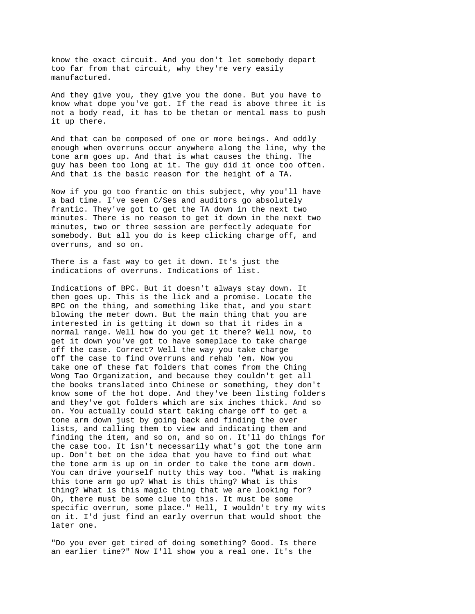know the exact circuit. And you don't let somebody depart too far from that circuit, why they're very easily manufactured.

And they give you, they give you the done. But you have to know what dope you've got. If the read is above three it is not a body read, it has to be thetan or mental mass to push it up there.

And that can be composed of one or more beings. And oddly enough when overruns occur anywhere along the line, why the tone arm goes up. And that is what causes the thing. The guy has been too long at it. The guy did it once too often. And that is the basic reason for the height of a TA.

Now if you go too frantic on this subject, why you'll have a bad time. I've seen C/Ses and auditors go absolutely frantic. They've got to get the TA down in the next two minutes. There is no reason to get it down in the next two minutes, two or three session are perfectly adequate for somebody. But all you do is keep clicking charge off, and overruns, and so on.

There is a fast way to get it down. It's just the indications of overruns. Indications of list.

Indications of BPC. But it doesn't always stay down. It then goes up. This is the lick and a promise. Locate the BPC on the thing, and something like that, and you start blowing the meter down. But the main thing that you are interested in is getting it down so that it rides in a normal range. Well how do you get it there? Well now, to get it down you've got to have someplace to take charge off the case. Correct? Well the way you take charge off the case to find overruns and rehab 'em. Now you take one of these fat folders that comes from the Ching Wong Tao Organization, and because they couldn't get all the books translated into Chinese or something, they don't know some of the hot dope. And they've been listing folders and they've got folders which are six inches thick. And so on. You actually could start taking charge off to get a tone arm down just by going back and finding the over lists, and calling them to view and indicating them and finding the item, and so on, and so on. It'll do things for the case too. It isn't necessarily what's got the tone arm up. Don't bet on the idea that you have to find out what the tone arm is up on in order to take the tone arm down. You can drive yourself nutty this way too. "What is making this tone arm go up? What is this thing? What is this thing? What is this magic thing that we are looking for? Oh, there must be some clue to this. It must be some specific overrun, some place." Hell, I wouldn't try my wits on it. I'd just find an early overrun that would shoot the later one.

"Do you ever get tired of doing something? Good. Is there an earlier time?" Now I'll show you a real one. It's the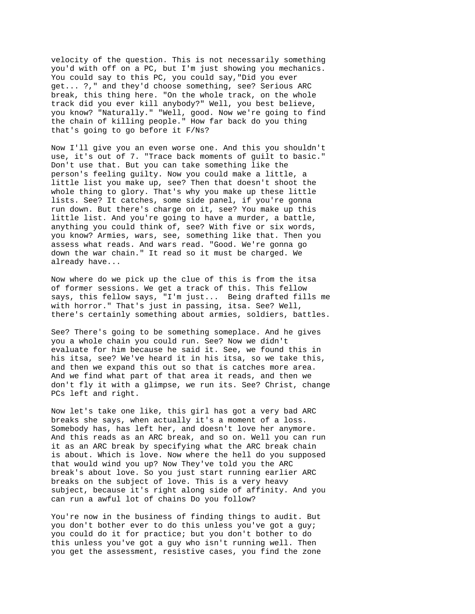velocity of the question. This is not necessarily something you'd with off on a PC, but I'm just showing you mechanics. You could say to this PC, you could say,"Did you ever get... ?," and they'd choose something, see? Serious ARC break, this thing here. "On the whole track, on the whole track did you ever kill anybody?" Well, you best believe, you know? "Naturally." "Well, good. Now we're going to find the chain of killing people." How far back do you thing that's going to go before it F/Ns?

Now I'll give you an even worse one. And this you shouldn't use, it's out of 7. "Trace back moments of guilt to basic." Don't use that. But you can take something like the person's feeling guilty. Now you could make a little, a little list you make up, see? Then that doesn't shoot the whole thing to glory. That's why you make up these little lists. See? It catches, some side panel, if you're gonna run down. But there's charge on it, see? You make up this little list. And you're going to have a murder, a battle, anything you could think of, see? With five or six words, you know? Armies, wars, see, something like that. Then you assess what reads. And wars read. "Good. We're gonna go down the war chain." It read so it must be charged. We already have...

Now where do we pick up the clue of this is from the itsa of former sessions. We get a track of this. This fellow says, this fellow says, "I'm just... Being drafted fills me with horror." That's just in passing, itsa. See? Well, there's certainly something about armies, soldiers, battles.

See? There's going to be something someplace. And he gives you a whole chain you could run. See? Now we didn't evaluate for him because he said it. See, we found this in his itsa, see? We've heard it in his itsa, so we take this, and then we expand this out so that is catches more area. And we find what part of that area it reads, and then we don't fly it with a glimpse, we run its. See? Christ, change PCs left and right.

Now let's take one like, this girl has got a very bad ARC breaks she says, when actually it's a moment of a loss. Somebody has, has left her, and doesn't love her anymore. And this reads as an ARC break, and so on. Well you can run it as an ARC break by specifying what the ARC break chain is about. Which is love. Now where the hell do you supposed that would wind you up? Now They've told you the ARC break's about love. So you just start running earlier ARC breaks on the subject of love. This is a very heavy subject, because it's right along side of affinity. And you can run a awful lot of chains Do you follow?

You're now in the business of finding things to audit. But you don't bother ever to do this unless you've got a guy; you could do it for practice; but you don't bother to do this unless you've got a guy who isn't running well. Then you get the assessment, resistive cases, you find the zone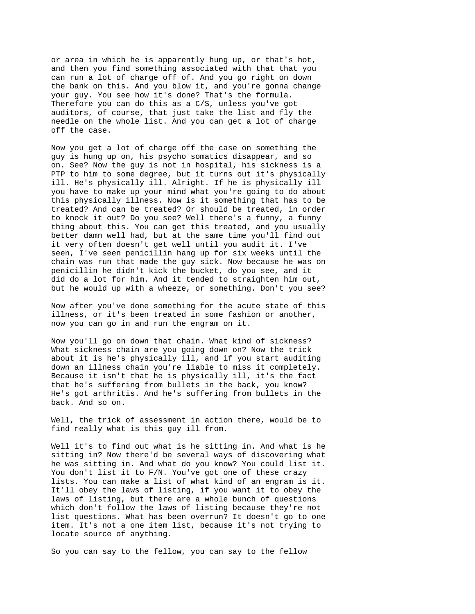or area in which he is apparently hung up, or that's hot, and then you find something associated with that that you can run a lot of charge off of. And you go right on down the bank on this. And you blow it, and you're gonna change your guy. You see how it's done? That's the formula. Therefore you can do this as a C/S, unless you've got auditors, of course, that just take the list and fly the needle on the whole list. And you can get a lot of charge off the case.

Now you get a lot of charge off the case on something the guy is hung up on, his psycho somatics disappear, and so on. See? Now the guy is not in hospital, his sickness is a PTP to him to some degree, but it turns out it's physically ill. He's physically ill. Alright. If he is physically ill you have to make up your mind what you're going to do about this physically illness. Now is it something that has to be treated? And can be treated? Or should be treated, in order to knock it out? Do you see? Well there's a funny, a funny thing about this. You can get this treated, and you usually better damn well had, but at the same time you'll find out it very often doesn't get well until you audit it. I've seen, I've seen penicillin hang up for six weeks until the chain was run that made the guy sick. Now because he was on penicillin he didn't kick the bucket, do you see, and it did do a lot for him. And it tended to straighten him out, but he would up with a wheeze, or something. Don't you see?

Now after you've done something for the acute state of this illness, or it's been treated in some fashion or another, now you can go in and run the engram on it.

Now you'll go on down that chain. What kind of sickness? What sickness chain are you going down on? Now the trick about it is he's physically ill, and if you start auditing down an illness chain you're liable to miss it completely. Because it isn't that he is physically ill, it's the fact that he's suffering from bullets in the back, you know? He's got arthritis. And he's suffering from bullets in the back. And so on.

Well, the trick of assessment in action there, would be to find really what is this guy ill from.

Well it's to find out what is he sitting in. And what is he sitting in? Now there'd be several ways of discovering what he was sitting in. And what do you know? You could list it. You don't list it to F/N. You've got one of these crazy lists. You can make a list of what kind of an engram is it. It'll obey the laws of listing, if you want it to obey the laws of listing, but there are a whole bunch of questions which don't follow the laws of listing because they're not list questions. What has been overrun? It doesn't go to one item. It's not a one item list, because it's not trying to locate source of anything.

So you can say to the fellow, you can say to the fellow